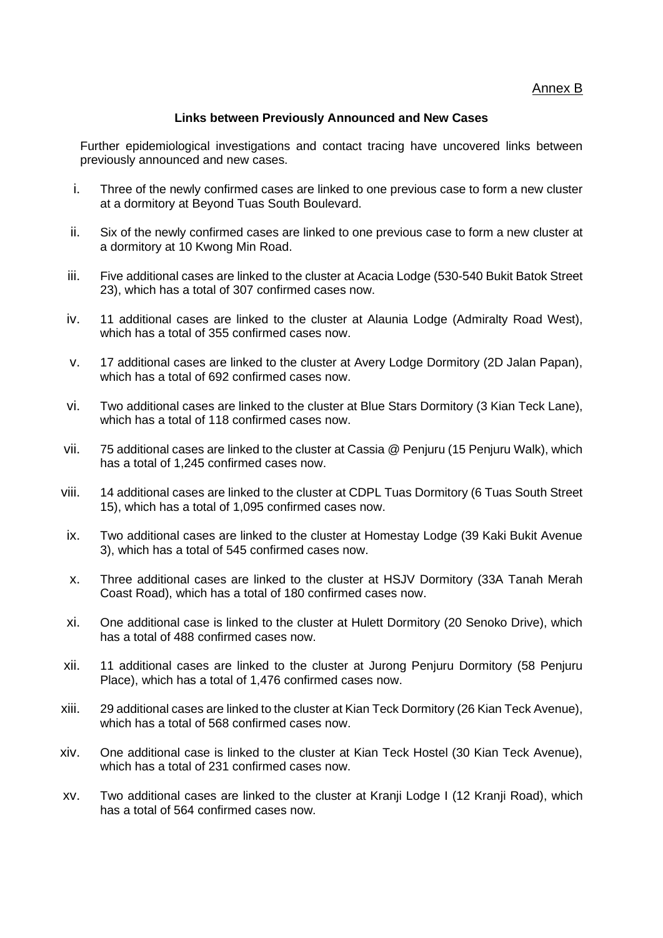## **Links between Previously Announced and New Cases**

Further epidemiological investigations and contact tracing have uncovered links between previously announced and new cases.

- i. Three of the newly confirmed cases are linked to one previous case to form a new cluster at a dormitory at Beyond Tuas South Boulevard.
- ii. Six of the newly confirmed cases are linked to one previous case to form a new cluster at a dormitory at 10 Kwong Min Road.
- iii. Five additional cases are linked to the cluster at Acacia Lodge (530-540 Bukit Batok Street 23), which has a total of 307 confirmed cases now.
- iv. 11 additional cases are linked to the cluster at Alaunia Lodge (Admiralty Road West), which has a total of 355 confirmed cases now.
- v. 17 additional cases are linked to the cluster at Avery Lodge Dormitory (2D Jalan Papan), which has a total of 692 confirmed cases now.
- vi. Two additional cases are linked to the cluster at Blue Stars Dormitory (3 Kian Teck Lane), which has a total of 118 confirmed cases now.
- vii. 75 additional cases are linked to the cluster at Cassia @ Penjuru (15 Penjuru Walk), which has a total of 1,245 confirmed cases now.
- viii. 14 additional cases are linked to the cluster at CDPL Tuas Dormitory (6 Tuas South Street 15), which has a total of 1,095 confirmed cases now.
- ix. Two additional cases are linked to the cluster at Homestay Lodge (39 Kaki Bukit Avenue 3), which has a total of 545 confirmed cases now.
- x. Three additional cases are linked to the cluster at HSJV Dormitory (33A Tanah Merah Coast Road), which has a total of 180 confirmed cases now.
- xi. One additional case is linked to the cluster at Hulett Dormitory (20 Senoko Drive), which has a total of 488 confirmed cases now.
- xii. 11 additional cases are linked to the cluster at Jurong Penjuru Dormitory (58 Penjuru Place), which has a total of 1,476 confirmed cases now.
- xiii. 29 additional cases are linked to the cluster at Kian Teck Dormitory (26 Kian Teck Avenue), which has a total of 568 confirmed cases now.
- xiv. One additional case is linked to the cluster at Kian Teck Hostel (30 Kian Teck Avenue), which has a total of 231 confirmed cases now.
- xv. Two additional cases are linked to the cluster at Kranji Lodge I (12 Kranji Road), which has a total of 564 confirmed cases now.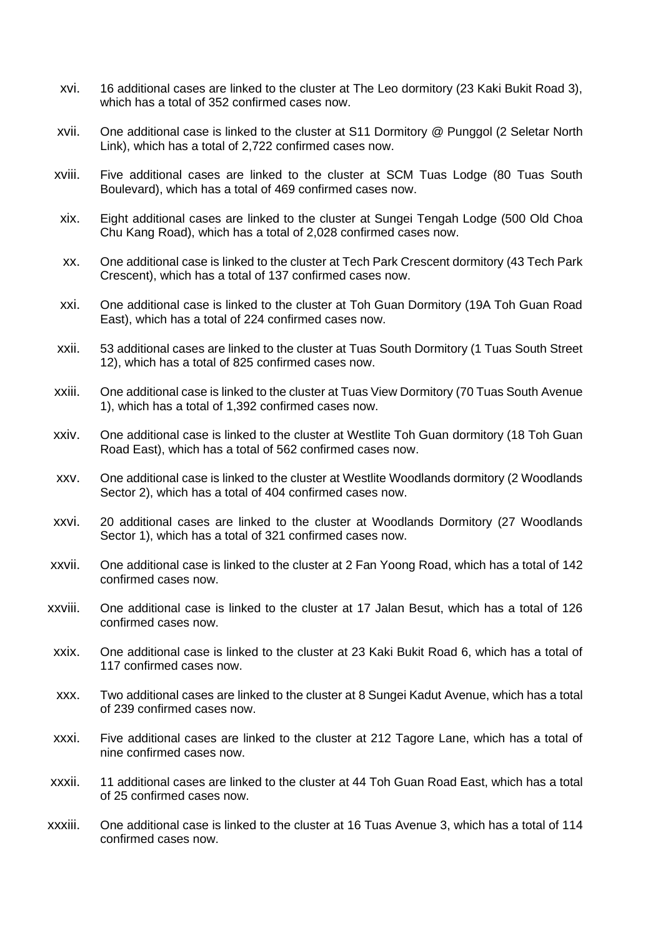- xvi. 16 additional cases are linked to the cluster at The Leo dormitory (23 Kaki Bukit Road 3), which has a total of 352 confirmed cases now.
- xvii. One additional case is linked to the cluster at S11 Dormitory @ Punggol (2 Seletar North Link), which has a total of 2,722 confirmed cases now.
- xviii. Five additional cases are linked to the cluster at SCM Tuas Lodge (80 Tuas South Boulevard), which has a total of 469 confirmed cases now.
- xix. Eight additional cases are linked to the cluster at Sungei Tengah Lodge (500 Old Choa Chu Kang Road), which has a total of 2,028 confirmed cases now.
- xx. One additional case is linked to the cluster at Tech Park Crescent dormitory (43 Tech Park Crescent), which has a total of 137 confirmed cases now.
- xxi. One additional case is linked to the cluster at Toh Guan Dormitory (19A Toh Guan Road East), which has a total of 224 confirmed cases now.
- xxii. 53 additional cases are linked to the cluster at Tuas South Dormitory (1 Tuas South Street 12), which has a total of 825 confirmed cases now.
- xxiii. One additional case is linked to the cluster at Tuas View Dormitory (70 Tuas South Avenue 1), which has a total of 1,392 confirmed cases now.
- xxiv. One additional case is linked to the cluster at Westlite Toh Guan dormitory (18 Toh Guan Road East), which has a total of 562 confirmed cases now.
- xxv. One additional case is linked to the cluster at Westlite Woodlands dormitory (2 Woodlands Sector 2), which has a total of 404 confirmed cases now.
- xxvi. 20 additional cases are linked to the cluster at Woodlands Dormitory (27 Woodlands Sector 1), which has a total of 321 confirmed cases now.
- xxvii. One additional case is linked to the cluster at 2 Fan Yoong Road, which has a total of 142 confirmed cases now.
- xxviii. One additional case is linked to the cluster at 17 Jalan Besut, which has a total of 126 confirmed cases now.
- xxix. One additional case is linked to the cluster at 23 Kaki Bukit Road 6, which has a total of 117 confirmed cases now.
- xxx. Two additional cases are linked to the cluster at 8 Sungei Kadut Avenue, which has a total of 239 confirmed cases now.
- xxxi. Five additional cases are linked to the cluster at 212 Tagore Lane, which has a total of nine confirmed cases now.
- xxxii. 11 additional cases are linked to the cluster at 44 Toh Guan Road East, which has a total of 25 confirmed cases now.
- xxxiii. One additional case is linked to the cluster at 16 Tuas Avenue 3, which has a total of 114 confirmed cases now.